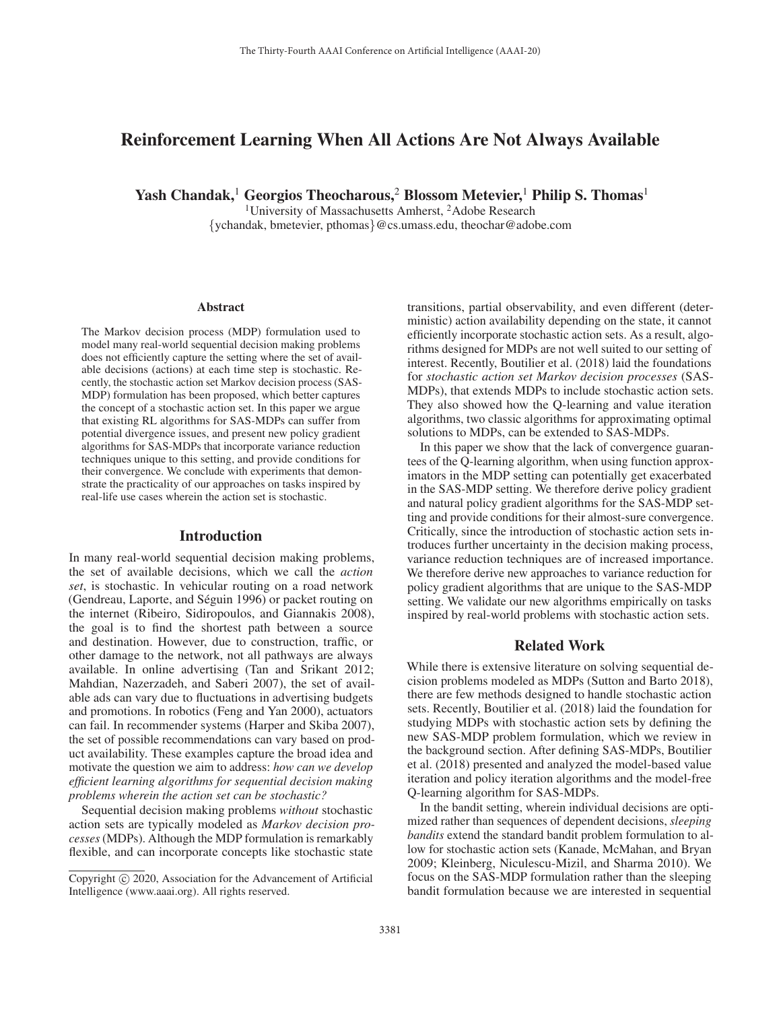# Reinforcement Learning When All Actions Are Not Always Available

Yash Chandak,<sup>1</sup> Georgios Theocharous,<sup>2</sup> Blossom Metevier,<sup>1</sup> Philip S. Thomas<sup>1</sup>

<sup>1</sup>University of Massachusetts Amherst, <sup>2</sup>Adobe Research {ychandak, bmetevier, pthomas}@cs.umass.edu, theochar@adobe.com

#### Abstract

The Markov decision process (MDP) formulation used to model many real-world sequential decision making problems does not efficiently capture the setting where the set of available decisions (actions) at each time step is stochastic. Recently, the stochastic action set Markov decision process (SAS-MDP) formulation has been proposed, which better captures the concept of a stochastic action set. In this paper we argue that existing RL algorithms for SAS-MDPs can suffer from potential divergence issues, and present new policy gradient algorithms for SAS-MDPs that incorporate variance reduction techniques unique to this setting, and provide conditions for their convergence. We conclude with experiments that demonstrate the practicality of our approaches on tasks inspired by real-life use cases wherein the action set is stochastic.

#### Introduction

In many real-world sequential decision making problems, the set of available decisions, which we call the *action set*, is stochastic. In vehicular routing on a road network (Gendreau, Laporte, and Séguin 1996) or packet routing on the internet (Ribeiro, Sidiropoulos, and Giannakis 2008), the goal is to find the shortest path between a source and destination. However, due to construction, traffic, or other damage to the network, not all pathways are always available. In online advertising (Tan and Srikant 2012; Mahdian, Nazerzadeh, and Saberi 2007), the set of available ads can vary due to fluctuations in advertising budgets and promotions. In robotics (Feng and Yan 2000), actuators can fail. In recommender systems (Harper and Skiba 2007), the set of possible recommendations can vary based on product availability. These examples capture the broad idea and motivate the question we aim to address: *how can we develop efficient learning algorithms for sequential decision making problems wherein the action set can be stochastic?*

Sequential decision making problems *without* stochastic action sets are typically modeled as *Markov decision processes* (MDPs). Although the MDP formulation is remarkably flexible, and can incorporate concepts like stochastic state

transitions, partial observability, and even different (deterministic) action availability depending on the state, it cannot efficiently incorporate stochastic action sets. As a result, algorithms designed for MDPs are not well suited to our setting of interest. Recently, Boutilier et al. (2018) laid the foundations for *stochastic action set Markov decision processes* (SAS-MDPs), that extends MDPs to include stochastic action sets. They also showed how the Q-learning and value iteration algorithms, two classic algorithms for approximating optimal solutions to MDPs, can be extended to SAS-MDPs.

In this paper we show that the lack of convergence guarantees of the Q-learning algorithm, when using function approximators in the MDP setting can potentially get exacerbated in the SAS-MDP setting. We therefore derive policy gradient and natural policy gradient algorithms for the SAS-MDP setting and provide conditions for their almost-sure convergence. Critically, since the introduction of stochastic action sets introduces further uncertainty in the decision making process, variance reduction techniques are of increased importance. We therefore derive new approaches to variance reduction for policy gradient algorithms that are unique to the SAS-MDP setting. We validate our new algorithms empirically on tasks inspired by real-world problems with stochastic action sets.

#### Related Work

While there is extensive literature on solving sequential decision problems modeled as MDPs (Sutton and Barto 2018), there are few methods designed to handle stochastic action sets. Recently, Boutilier et al. (2018) laid the foundation for studying MDPs with stochastic action sets by defining the new SAS-MDP problem formulation, which we review in the background section. After defining SAS-MDPs, Boutilier et al. (2018) presented and analyzed the model-based value iteration and policy iteration algorithms and the model-free Q-learning algorithm for SAS-MDPs.

In the bandit setting, wherein individual decisions are optimized rather than sequences of dependent decisions, *sleeping bandits* extend the standard bandit problem formulation to allow for stochastic action sets (Kanade, McMahan, and Bryan 2009; Kleinberg, Niculescu-Mizil, and Sharma 2010). We focus on the SAS-MDP formulation rather than the sleeping bandit formulation because we are interested in sequential

Copyright  $\odot$  2020, Association for the Advancement of Artificial Intelligence (www.aaai.org). All rights reserved.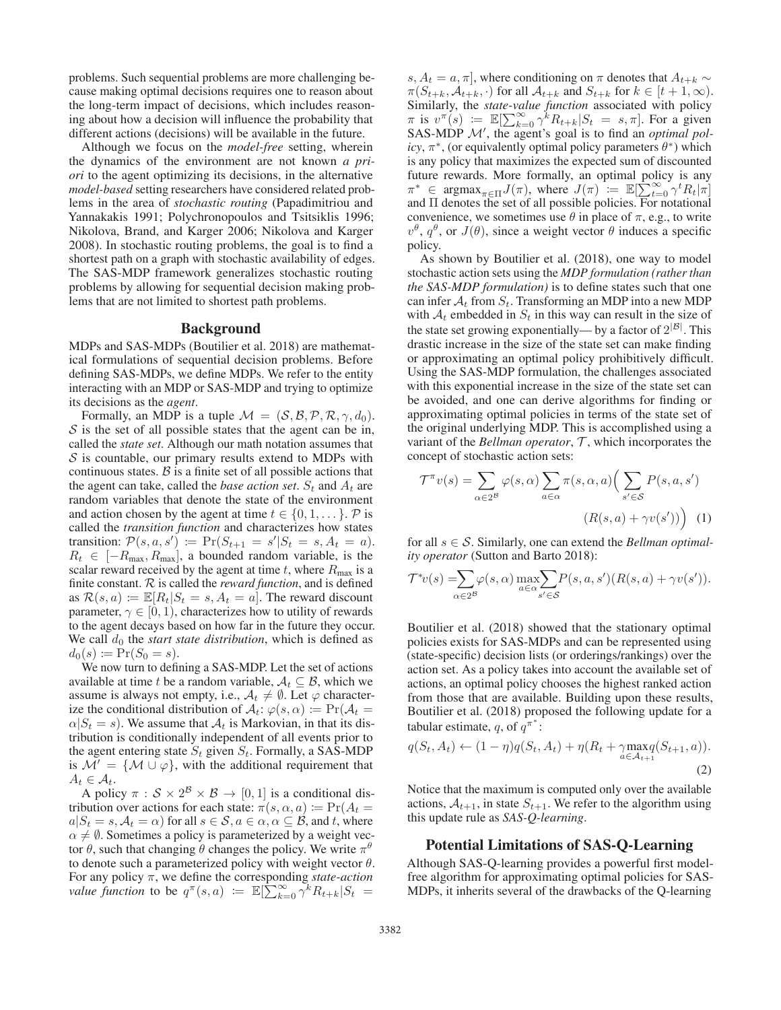problems. Such sequential problems are more challenging because making optimal decisions requires one to reason about the long-term impact of decisions, which includes reasoning about how a decision will influence the probability that different actions (decisions) will be available in the future.

Although we focus on the *model-free* setting, wherein the dynamics of the environment are not known *a priori* to the agent optimizing its decisions, in the alternative *model-based* setting researchers have considered related problems in the area of *stochastic routing* (Papadimitriou and Yannakakis 1991; Polychronopoulos and Tsitsiklis 1996; Nikolova, Brand, and Karger 2006; Nikolova and Karger 2008). In stochastic routing problems, the goal is to find a shortest path on a graph with stochastic availability of edges. The SAS-MDP framework generalizes stochastic routing problems by allowing for sequential decision making problems that are not limited to shortest path problems.

### **Background**

MDPs and SAS-MDPs (Boutilier et al. 2018) are mathematical formulations of sequential decision problems. Before defining SAS-MDPs, we define MDPs. We refer to the entity interacting with an MDP or SAS-MDP and trying to optimize its decisions as the *agent*.

Formally, an MDP is a tuple  $\mathcal{M} = (\mathcal{S}, \mathcal{B}, \mathcal{P}, \mathcal{R}, \gamma, d_0)$ .  $S$  is the set of all possible states that the agent can be in, called the *state set*. Although our math notation assumes that  $S$  is countable, our primary results extend to MDPs with continuous states.  $\beta$  is a finite set of all possible actions that the agent can take, called the *base action set*.  $S_t$  and  $A_t$  are random variables that denote the state of the environment and action chosen by the agent at time  $t \in \{0, 1, \ldots\}$ . P is called the *transition function* and characterizes how states transition:  $\mathcal{P}(s, a, s') \coloneqq \Pr(S_{t+1} = s'|S_t = s, A_t = a)$ .<br>  $R_t \in [-R_{max} R_{max}]$  a bounded random variable is the  $R_t \in [-R_{\text{max}}, R_{\text{max}}]$ , a bounded random variable, is the scalar reward received by the agent at time  $t$ , where  $R_{\text{max}}$  is a finite constant. R is called the *reward function*, and is defined as  $\mathcal{R}(s, a) \coloneqq \mathbb{E}[R_t|S_t = s, A_t = a]$ . The reward discount parameter,  $\gamma \in [0, 1)$ , characterizes how to utility of rewards to the agent decays based on how far in the future they occur. We call  $d_0$  the *start state distribution*, which is defined as  $d_0(s) := \Pr(S_0 = s).$ <br>We now turn to defi-

We now turn to defining a SAS-MDP. Let the set of actions available at time t be a random variable,  $A_t \subseteq B$ , which we assume is always not empty, i.e.,  $A_t \neq \emptyset$ . Let  $\varphi$  characterize the conditional distribution of  $A_t$ :  $\varphi(s, \alpha) \coloneqq \Pr(A_t =$  $\alpha|S_t = s$ . We assume that  $\mathcal{A}_t$  is Markovian, in that its distribution is conditionally independent of all events prior to the agent entering state  $S_t$  given  $S_t$ . Formally, a SAS-MDP is  $\mathcal{M}' = \{ \mathcal{M} \cup \varphi \}$ , with the additional requirement that  $A_t \in A_t$  $A_t \in \mathcal{A}_t$ .

A policy  $\pi : \mathcal{S} \times 2^{\mathcal{B}} \times \mathcal{B} \to [0, 1]$  is a conditional distribution over actions for each state:  $\pi(s, \alpha, a) := Pr(A_t =$  $a|S_t = s, A_t = \alpha$  for all  $s \in S, a \in \alpha, \alpha \subseteq B$ , and t, where  $\alpha \neq \emptyset$ . Sometimes a policy is parameterized by a weight vector  $\theta$ , such that changing  $\theta$  changes the policy. We write  $\pi^{\theta}$ to denote such a parameterized policy with weight vector  $\theta$ . For any policy π, we define the corresponding *state-action value function* to be  $q^{\pi}(s, a) := \mathbb{E}[\sum_{k=0}^{\infty} \gamma^k R_{t+k} | S_t =$ 

s,  $A_t = a, \pi$ , where conditioning on  $\pi$  denotes that  $A_{t+k} \sim$  $\pi(S_{t+k}, \mathcal{A}_{t+k}, \cdot)$  for all  $\mathcal{A}_{t+k}$  and  $S_{t+k}$  for  $k \in [t+1, \infty)$ . Similarly, the *state-value function* associated with policy  $\pi$  is  $v^{\pi}(s) := \mathbb{E}[\sum_{k=0}^{\infty} \gamma^{k} R_{t+k} | S_t = s, \pi].$  For a given SAS-MDP *M'* the agent's goal is to find an *optimal pol-*SAS-MDP  $\mathcal{M}'$ , the agent's goal is to find an *optimal policy*,  $\pi^*$ , (or equivalently optimal policy parameters  $\theta^*$ ) which is any policy that maximizes the expected sum of discounted future rewards. More formally, an optimal policy is any  $\pi^* \in \text{argmax}_{\pi \in \Pi} J(\pi)$ , where  $J(\pi) := \mathbb{E}[\sum_{t=0}^{\infty} \gamma^t R_t | \pi]$ <br>and II denotes the set of all possible policies. For notational and Π denotes the set of all possible policies. For notational convenience, we sometimes use  $\theta$  in place of  $\pi$ , e.g., to write  $v^{\theta}$ ,  $q^{\theta}$ , or  $J(\theta)$ , since a weight vector  $\theta$  induces a specific policy.

As shown by Boutilier et al. (2018), one way to model stochastic action sets using the *MDP formulation (rather than the SAS-MDP formulation)* is to define states such that one can infer  $A_t$  from  $S_t$ . Transforming an MDP into a new MDP with  $A_t$  embedded in  $S_t$  in this way can result in the size of the state set growing exponentially— by a factor of  $2^{|B|}$ . This drastic increase in the size of the state set can make finding or approximating an optimal policy prohibitively difficult. Using the SAS-MDP formulation, the challenges associated with this exponential increase in the size of the state set can be avoided, and one can derive algorithms for finding or approximating optimal policies in terms of the state set of the original underlying MDP. This is accomplished using a variant of the *Bellman operator*,  $T$ , which incorporates the concept of stochastic action sets:

$$
\mathcal{T}^{\pi}v(s) = \sum_{\alpha \in 2^{\mathcal{B}}} \varphi(s,\alpha) \sum_{a \in \alpha} \pi(s,\alpha,a) \Big( \sum_{s' \in \mathcal{S}} P(s,a,s') \Big)
$$

$$
(R(s,a) + \gamma v(s')) \Big) \tag{1}
$$

for all s ∈ S. Similarly, one can extend the *Bellman optimality operator* (Sutton and Barto 2018):

$$
\mathcal{T}^*v(s) = \sum_{\alpha \in 2^{\mathcal{B}}} \varphi(s,\alpha) \max_{a \in \alpha} \sum_{s' \in \mathcal{S}} P(s,a,s') (R(s,a) + \gamma v(s')).
$$

Boutilier et al. (2018) showed that the stationary optimal policies exists for SAS-MDPs and can be represented using (state-specific) decision lists (or orderings/rankings) over the action set. As a policy takes into account the available set of actions, an optimal policy chooses the highest ranked action from those that are available. Building upon these results, Boutilier et al. (2018) proposed the following update for a tabular estimate, q, of  $q^{\pi^*}$ :

$$
q(S_t, A_t) \leftarrow (1 - \eta)q(S_t, A_t) + \eta(R_t + \gamma \max_{a \in \mathcal{A}_{t+1}} q(S_{t+1}, a)).
$$
\n(2)

Notice that the maximum is computed only over the available actions,  $A_{t+1}$ , in state  $S_{t+1}$ . We refer to the algorithm using this update rule as *SAS-Q-learning*.

### Potential Limitations of SAS-Q-Learning

Although SAS-Q-learning provides a powerful first modelfree algorithm for approximating optimal policies for SAS-MDPs, it inherits several of the drawbacks of the Q-learning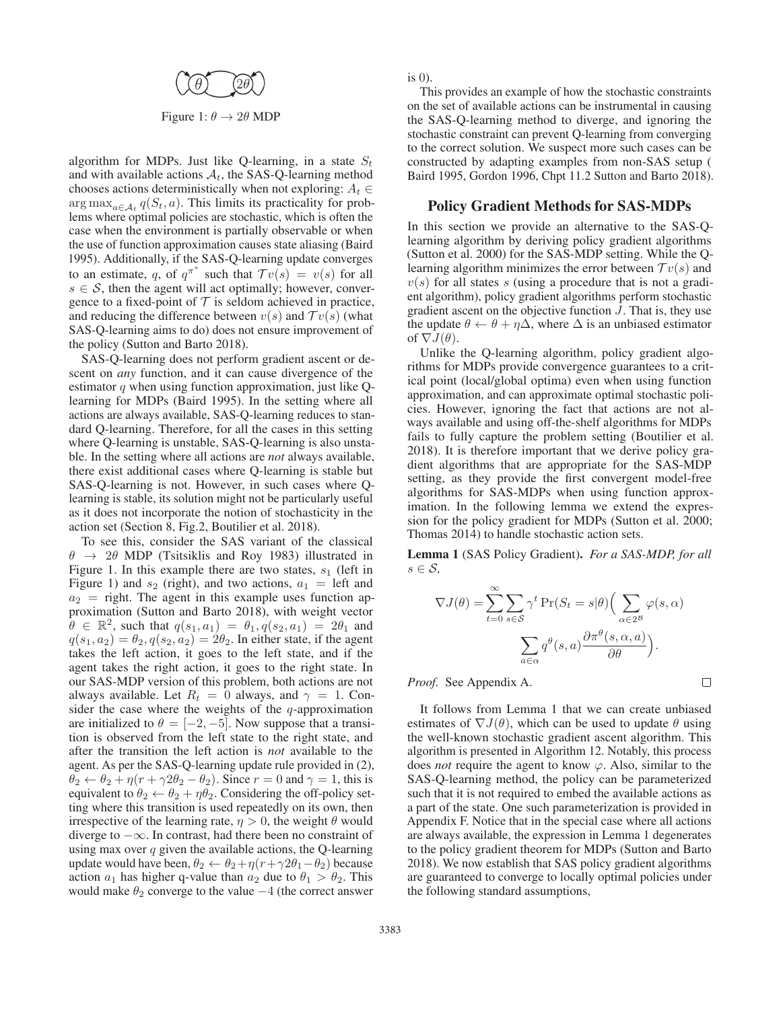

Figure 1:  $\theta \rightarrow 2\theta$  MDP

algorithm for MDPs. Just like Q-learning, in a state  $S_t$ and with available actions  $A_t$ , the SAS-Q-learning method chooses actions deterministically when not exploring:  $A_t \in$ arg max<sub> $a \in A_t$ </sub>  $q(S_t, a)$ . This limits its practicality for problems where optimal policies are stochastic, which is often the case when the environment is partially observable or when the use of function approximation causes state aliasing (Baird 1995). Additionally, if the SAS-Q-learning update converges to an estimate, q, of  $q^{\pi^*}$  such that  $Tv(s) = v(s)$  for all  $s \in S$  then the agent will act optimally however conver $s \in S$ , then the agent will act optimally; however, convergence to a fixed-point of  $T$  is seldom achieved in practice, and reducing the difference between  $v(s)$  and  $T v(s)$  (what SAS-Q-learning aims to do) does not ensure improvement of the policy (Sutton and Barto 2018).

SAS-Q-learning does not perform gradient ascent or descent on *any* function, and it can cause divergence of the estimator  $q$  when using function approximation, just like Qlearning for MDPs (Baird 1995). In the setting where all actions are always available, SAS-Q-learning reduces to standard Q-learning. Therefore, for all the cases in this setting where Q-learning is unstable, SAS-Q-learning is also unstable. In the setting where all actions are *not* always available, there exist additional cases where Q-learning is stable but SAS-Q-learning is not. However, in such cases where Qlearning is stable, its solution might not be particularly useful as it does not incorporate the notion of stochasticity in the action set (Section 8, Fig.2, Boutilier et al. 2018).

To see this, consider the SAS variant of the classical  $\theta \rightarrow 2\theta$  MDP (Tsitsiklis and Roy 1983) illustrated in Figure 1. In this example there are two states,  $s_1$  (left in Figure 1) and  $s_2$  (right), and two actions,  $a_1 =$  left and  $a_2$  = right. The agent in this example uses function approximation (Sutton and Barto 2018) with weight vector proximation (Sutton and Barto 2018), with weight vector  $\theta \in \mathbb{R}^2$ , such that  $q(s_1, a_1) = \theta_1, q(s_2, a_1) = 2\theta_1$  and  $q(s_1, a_2) = \theta_2, q(s_2, a_2) = 2\theta_2$ . In either state, if the agent takes the left action, it goes to the left state, and if the agent takes the right action, it goes to the right state. In our SAS-MDP version of this problem, both actions are not always available. Let  $R_t = 0$  always, and  $\gamma = 1$ . Consider the case where the weights of the  $q$ -approximation are initialized to  $\theta = [-2, -5]$ . Now suppose that a transition is observed from the left state to the right state, and after the transition the left action is *not* available to the agent. As per the SAS-Q-learning update rule provided in (2),  $\theta_2 \leftarrow \theta_2 + \eta (r + \gamma 2\theta_2 - \theta_2)$ . Since  $r = 0$  and  $\gamma = 1$ , this is equivalent to  $\theta_2 \leftarrow \theta_2 + \eta \theta_2$ . Considering the off-policy set equivalent to  $\theta_2 \leftarrow \theta_2 + \eta \theta_2$ . Considering the off-policy setting where this transition is used repeatedly on its own, then irrespective of the learning rate,  $\eta > 0$ , the weight  $\theta$  would diverge to −∞. In contrast, had there been no constraint of using max over  $q$  given the available actions, the Q-learning update would have been,  $\theta_2 \leftarrow \theta_2 + \eta (r + \gamma 2\theta_1 - \theta_2)$  because action  $a_1$  has higher q-value than  $a_2$  due to  $\theta_1 > \theta_2$ . This would make  $\theta_2$  converge to the value  $-4$  (the correct answer

is 0).

This provides an example of how the stochastic constraints on the set of available actions can be instrumental in causing the SAS-Q-learning method to diverge, and ignoring the stochastic constraint can prevent Q-learning from converging to the correct solution. We suspect more such cases can be constructed by adapting examples from non-SAS setup ( Baird 1995, Gordon 1996, Chpt 11.2 Sutton and Barto 2018).

#### Policy Gradient Methods for SAS-MDPs

In this section we provide an alternative to the SAS-Qlearning algorithm by deriving policy gradient algorithms (Sutton et al. 2000) for the SAS-MDP setting. While the Qlearning algorithm minimizes the error between  $T v(s)$  and  $v(s)$  for all states s (using a procedure that is not a gradient algorithm), policy gradient algorithms perform stochastic gradient ascent on the objective function J. That is, they use the update  $\theta \leftarrow \theta + \eta \Delta$ , where  $\Delta$  is an unbiased estimator of  $\nabla J(\theta)$ .

Unlike the Q-learning algorithm, policy gradient algorithms for MDPs provide convergence guarantees to a critical point (local/global optima) even when using function approximation, and can approximate optimal stochastic policies. However, ignoring the fact that actions are not always available and using off-the-shelf algorithms for MDPs fails to fully capture the problem setting (Boutilier et al. 2018). It is therefore important that we derive policy gradient algorithms that are appropriate for the SAS-MDP setting, as they provide the first convergent model-free algorithms for SAS-MDPs when using function approximation. In the following lemma we extend the expression for the policy gradient for MDPs (Sutton et al. 2000; Thomas 2014) to handle stochastic action sets.

Lemma 1 (SAS Policy Gradient). *For a SAS-MDP, for all* s ∈ S*,*

$$
\nabla J(\theta) = \sum_{t=0}^{\infty} \sum_{s \in \mathcal{S}} \gamma^t \Pr(S_t = s | \theta) \Big( \sum_{\alpha \in 2^{\mathcal{B}}} \varphi(s, \alpha) \Big)
$$

$$
\sum_{a \in \alpha} q^{\theta}(s, a) \frac{\partial \pi^{\theta}(s, \alpha, a)}{\partial \theta} \Big).
$$

*Proof.* See Appendix A.

 $\Box$ 

It follows from Lemma 1 that we can create unbiased estimates of  $\nabla J(\theta)$ , which can be used to update  $\theta$  using the well-known stochastic gradient ascent algorithm. This algorithm is presented in Algorithm 12. Notably, this process does *not* require the agent to know  $\varphi$ . Also, similar to the SAS-Q-learning method, the policy can be parameterized such that it is not required to embed the available actions as a part of the state. One such parameterization is provided in Appendix F. Notice that in the special case where all actions are always available, the expression in Lemma 1 degenerates to the policy gradient theorem for MDPs (Sutton and Barto 2018). We now establish that SAS policy gradient algorithms are guaranteed to converge to locally optimal policies under the following standard assumptions,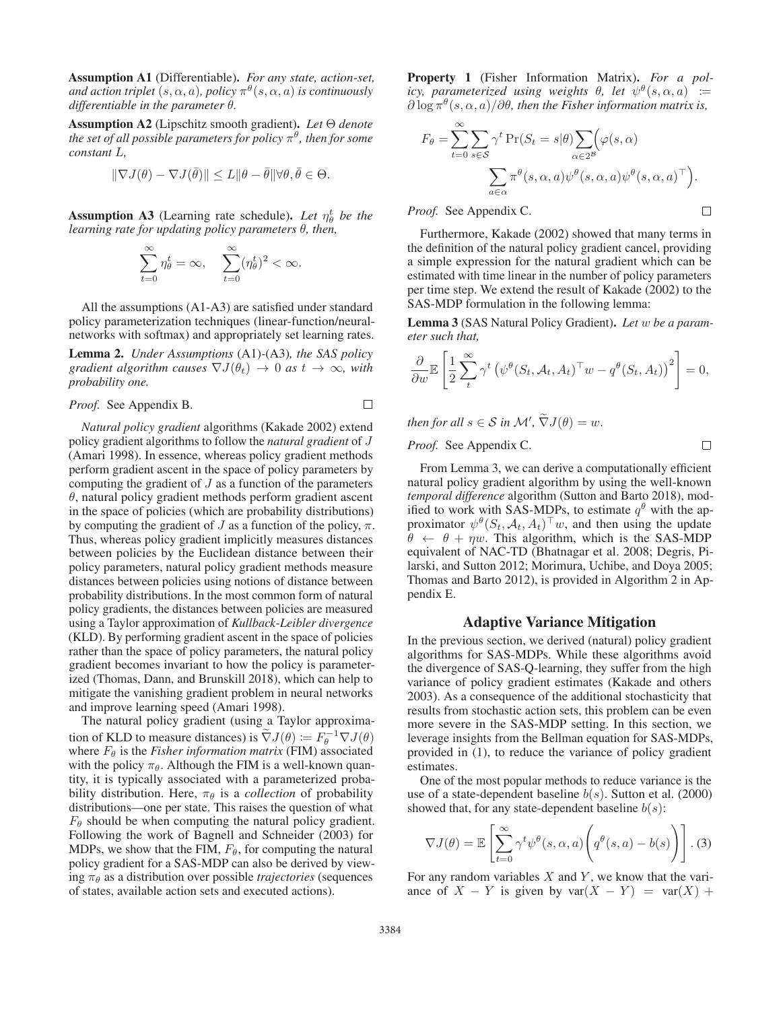Assumption A1 (Differentiable). *For any state, action-set, and action triplet*  $(s, \alpha, a)$ *, policy*  $\pi^{\theta}(s, \alpha, a)$  *is continuously differentiable in the parameter* θ*.*

Assumption A2 (Lipschitz smooth gradient). *Let* Θ *denote the set of all possible parameters for policy*  $\pi^{\theta}$ *, then for some constant* L*,*

$$
\|\nabla J(\theta) - \nabla J(\bar{\theta})\| \le L \|\theta - \bar{\theta}\| \forall \theta, \bar{\theta} \in \Theta.
$$

**Assumption A3** (Learning rate schedule). Let  $\eta_{\theta}^{t}$  be the *learning rate for updating policy parameters* θ*, then,*

$$
\sum_{t=0}^{\infty} \eta_{\theta}^t = \infty, \quad \sum_{t=0}^{\infty} (\eta_{\theta}^t)^2 < \infty.
$$

All the assumptions (A1-A3) are satisfied under standard policy parameterization techniques (linear-function/neuralnetworks with softmax) and appropriately set learning rates.

Lemma 2. *Under Assumptions* (A1)*-*(A3)*, the SAS policy gradient algorithm causes*  $\nabla J(\theta_t) \rightarrow 0$  *as*  $t \rightarrow \infty$ *, with probability one.*

*Proof.* See Appendix B. 
$$
\Box
$$

*Natural policy gradient* algorithms (Kakade 2002) extend policy gradient algorithms to follow the *natural gradient* of J (Amari 1998). In essence, whereas policy gradient methods perform gradient ascent in the space of policy parameters by computing the gradient of  $J$  as a function of the parameters  $\theta$ , natural policy gradient methods perform gradient ascent in the space of policies (which are probability distributions) by computing the gradient of J as a function of the policy,  $\pi$ . Thus, whereas policy gradient implicitly measures distances between policies by the Euclidean distance between their policy parameters, natural policy gradient methods measure distances between policies using notions of distance between probability distributions. In the most common form of natural policy gradients, the distances between policies are measured using a Taylor approximation of *Kullback*-*Leibler divergence* (KLD). By performing gradient ascent in the space of policies rather than the space of policy parameters, the natural policy gradient becomes invariant to how the policy is parameterized (Thomas, Dann, and Brunskill 2018), which can help to mitigate the vanishing gradient problem in neural networks and improve learning speed (Amari 1998).

The natural policy gradient (using a Taylor approximation of KLD to measure distances) is  $\tilde{\nabla}J(\theta) := F_{\theta}^{-1} \nabla J(\theta)$ <br>where  $F_{\theta}$  is the *Fisher information matrix* (FIM) associated where  $F_{\theta}$  is the *Fisher information matrix* (FIM) associated with the policy  $\pi_{\theta}$ . Although the FIM is a well-known quantity, it is typically associated with a parameterized probability distribution. Here,  $\pi_{\theta}$  is a *collection* of probability distributions—one per state. This raises the question of what  $F_{\theta}$  should be when computing the natural policy gradient. Following the work of Bagnell and Schneider (2003) for MDPs, we show that the FIM,  $F_{\theta}$ , for computing the natural policy gradient for a SAS-MDP can also be derived by viewing  $\pi_{\theta}$  as a distribution over possible *trajectories* (sequences of states, available action sets and executed actions).

Property 1 (Fisher Information Matrix). *For a policy, parameterized using weights*  $\theta$ *, let*  $\psi^{\theta}(s, \alpha, a)$  :=  $\partial \log \pi^{\theta}(s, \alpha, a)/\partial \theta$ , then the Fisher information matrix is,

$$
F_{\theta} = \sum_{t=0}^{\infty} \sum_{s \in S} \gamma^{t} \Pr(S_{t} = s | \theta) \sum_{\alpha \in 2^{\mathcal{B}}} (\varphi(s, \alpha))
$$

$$
\sum_{a \in \alpha} \pi^{\theta}(s, \alpha, a) \psi^{\theta}(s, \alpha, a) \psi^{\theta}(s, \alpha, a)^{\top}).
$$

*Proof.* See Appendix C.

Furthermore, Kakade (2002) showed that many terms in the definition of the natural policy gradient cancel, providing a simple expression for the natural gradient which can be estimated with time linear in the number of policy parameters per time step. We extend the result of Kakade (2002) to the SAS-MDP formulation in the following lemma:

Lemma 3 (SAS Natural Policy Gradient). *Let* w *be a parameter such that,*

$$
\frac{\partial}{\partial w} \mathbb{E}\left[\frac{1}{2}\sum_{t}^{\infty} \gamma^{t} \left(\psi^{\theta}(S_{t}, A_{t}, A_{t})^{\top} w - q^{\theta}(S_{t}, A_{t})\right)^{2}\right] = 0,
$$

*then for all*  $s \in S$  *in*  $\mathcal{M}'$ ,  $\widetilde{\nabla}J(\theta) = w$ .

*Proof.* See Appendix C.

From Lemma 3, we can derive a computationally efficient natural policy gradient algorithm by using the well-known *temporal difference* algorithm (Sutton and Barto 2018), modified to work with SAS-MDPs, to estimate  $q^{\theta}$  with the approximator  $\psi^{\theta}(S_t, \mathcal{A}_t, A_t)^{\top}w$ , and then using the update  $\theta \leftarrow \theta + \eta w$ . This algorithm, which is the SAS-MDP equivalent of NAC-TD (Bhatnagar et al. 2008; Degris, Pilarski, and Sutton 2012; Morimura, Uchibe, and Doya 2005; Thomas and Barto 2012), is provided in Algorithm 2 in Appendix E.

#### Adaptive Variance Mitigation

In the previous section, we derived (natural) policy gradient algorithms for SAS-MDPs. While these algorithms avoid the divergence of SAS-Q-learning, they suffer from the high variance of policy gradient estimates (Kakade and others 2003). As a consequence of the additional stochasticity that results from stochastic action sets, this problem can be even more severe in the SAS-MDP setting. In this section, we leverage insights from the Bellman equation for SAS-MDPs, provided in (1), to reduce the variance of policy gradient estimates.

One of the most popular methods to reduce variance is the use of a state-dependent baseline  $b(s)$ . Sutton et al. (2000) showed that, for any state-dependent baseline  $b(s)$ :

$$
\nabla J(\theta) = \mathbb{E}\left[\sum_{t=0}^{\infty} \gamma^t \psi^{\theta}(s, \alpha, a) \left(q^{\theta}(s, a) - b(s)\right)\right].
$$
 (3)

For any random variables  $X$  and  $Y$ , we know that the variance of  $X - Y$  is given by  $var(X - Y) = var(X) +$ 

 $\Box$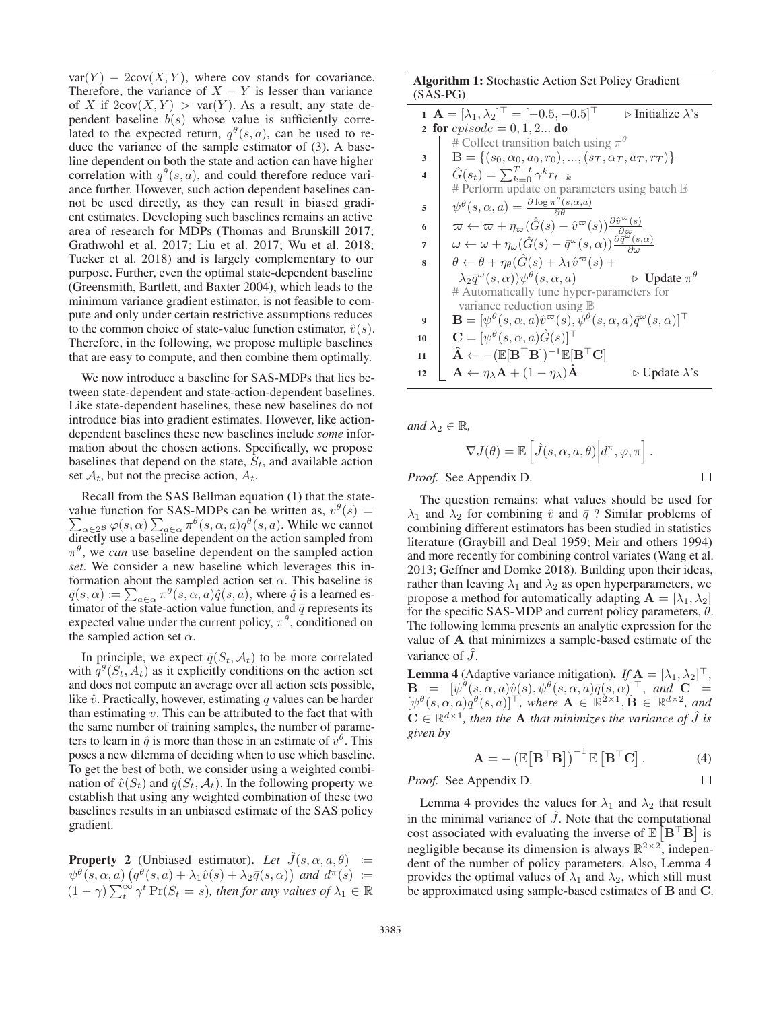$var(Y) - 2cov(X, Y)$ , where cov stands for covariance. Therefore, the variance of  $X - Y$  is lesser than variance of X if  $2\text{cov}(X, Y) > \text{var}(Y)$ . As a result, any state dependent baseline  $b(s)$  whose value is sufficiently correlated to the expected return,  $q^{\theta}(s, a)$ , can be used to reduce the variance of the sample estimator of (3). A baseline dependent on both the state and action can have higher correlation with  $q^{\theta}(s, a)$ , and could therefore reduce variance further. However, such action dependent baselines cannot be used directly, as they can result in biased gradient estimates. Developing such baselines remains an active area of research for MDPs (Thomas and Brunskill 2017; Grathwohl et al. 2017; Liu et al. 2017; Wu et al. 2018; Tucker et al. 2018) and is largely complementary to our purpose. Further, even the optimal state-dependent baseline (Greensmith, Bartlett, and Baxter 2004), which leads to the minimum variance gradient estimator, is not feasible to compute and only under certain restrictive assumptions reduces to the common choice of state-value function estimator,  $\hat{v}(s)$ . Therefore, in the following, we propose multiple baselines that are easy to compute, and then combine them optimally.

We now introduce a baseline for SAS-MDPs that lies between state-dependent and state-action-dependent baselines. Like state-dependent baselines, these new baselines do not introduce bias into gradient estimates. However, like actiondependent baselines these new baselines include *some* information about the chosen actions. Specifically, we propose baselines that depend on the state,  $S_t$ , and available action set  $A_t$ , but not the precise action,  $A_t$ .

Recall from the SAS Bellman equation (1) that the statevalue function for SAS-MDPs can be written as,  $v^{\theta}(s) = \sum_{\alpha,\beta} \alpha(\alpha|s,\alpha) \sum_{\theta} \pi^{\theta}(s,\alpha,\alpha) \alpha^{\theta}(s,\alpha)$ . While we cannot  $\sum_{\alpha \in 2^B} \varphi(s, \alpha) \sum_{a \in \alpha} \pi^{\theta}(s, \alpha, a) q^{\theta}(s, a)$ . While we cannot directly use a baseline dependent on the action sampled from  $\pi^{\theta}$ , we *can* use baseline dependent on the sampled action *set*. We consider a new baseline which leverages this information about the sampled action set  $\alpha$ . This baseline is  $\bar{q}(s, \alpha) := \sum_{a \in \alpha} \pi^{\theta}(s, \alpha, a) \hat{q}(s, a)$ , where  $\hat{q}$  is a learned estimator of the state-action value function and  $\bar{q}$  represents its timator of the state-action value function, and  $\bar{q}$  represents its expected value under the current policy  $\pi^{\theta}$  conditioned on expected value under the current policy,  $\pi^{\theta}$ , conditioned on the sampled action set  $\alpha$ .

In principle, we expect  $\bar{q}(S_t, A_t)$  to be more correlated with  $q^{\theta}(S_t, A_t)$  as it explicitly conditions on the action set and does not compute an average over all action sets possible, like  $\hat{v}$ . Practically, however, estimating q values can be harder than estimating  $v$ . This can be attributed to the fact that with the same number of training samples, the number of parameters to learn in  $\hat{q}$  is more than those in an estimate of  $v^{\theta}$ . This poses a new dilemma of deciding when to use which baseline. To get the best of both, we consider using a weighted combination of  $\hat{v}(S_t)$  and  $\bar{q}(S_t, A_t)$ . In the following property we establish that using any weighted combination of these two baselines results in an unbiased estimate of the SAS policy gradient.

**Property 2** (Unbiased estimator). Let  $\hat{J}(s, \alpha, a, \theta) :=$  $\psi^{\theta}(s, \alpha, a) \left( q^{\theta}(s, a) + \lambda_1 \hat{v}(s) + \lambda_2 \bar{q}(s, \alpha) \right)$  and  $d^{\pi}(s) :=$ <br>  $(1-\alpha) \sum_{n=0}^{\infty} \lambda^t Pr(S_n - s)$  then for any values of  $\lambda_n \in \mathbb{R}$  $(1 - \gamma) \sum_{t=0}^{\infty} \gamma^{t} Pr(S_t = s)$ , then for any values of  $\lambda_1 \in \mathbb{R}$ 

### Algorithm 1: Stochastic Action Set Policy Gradient (SAS-PG)

| 1 $\mathbf{A} = [\lambda_1, \lambda_2]^\top = [-0.5, -0.5]^\top$<br>$\triangleright$ Initialize $\lambda$ 's |                                                                                                                                                |
|--------------------------------------------------------------------------------------------------------------|------------------------------------------------------------------------------------------------------------------------------------------------|
| <b>2</b> for <i>episode</i> = 0, 1, 2 do                                                                     |                                                                                                                                                |
|                                                                                                              | # Collect transition batch using $\pi^{\theta}$                                                                                                |
| 3                                                                                                            | $\mathbb{B} = \{(s_0, \alpha_0, a_0, r_0), , (s_T, \alpha_T, a_T, r_T)\}\$                                                                     |
| $\overline{\mathbf{4}}$                                                                                      | $\hat{G}(s_t) = \sum_{k=0}^{T-t} \gamma^k r_{t+k}$                                                                                             |
|                                                                                                              | # Perform update on parameters using batch $\mathbb B$                                                                                         |
| 5                                                                                                            | $\psi^{\theta}(s, \alpha, a) = \frac{\partial \log \pi^{\theta}(s, \alpha, a)}{\partial a}$                                                    |
| 6                                                                                                            | $\varpi \leftarrow \varpi + \eta_{\varpi}(\hat{G}(s) - \hat{v}^{\varpi}(s))\frac{\partial \hat{v}^{\varpi}(s)}{\partial \varpi}$               |
| 7                                                                                                            | $\omega \leftarrow \omega + \eta_{\omega}(\hat{G}(s) - \bar{q}^{\omega}(s,\alpha))\frac{\partial \bar{q}^{\omega}(s,\alpha)}{\partial \omega}$ |
| 8                                                                                                            | $\theta \leftarrow \theta + \eta_{\theta}(\hat{G}(s) + \lambda_1 \hat{v}^{\varpi}(s) +$                                                        |
|                                                                                                              | $\lambda_2 \bar{q}^{\omega}(s,\alpha) \psi^{\theta}(s,\alpha,a)$<br>$\triangleright$ Update $\pi^{\theta}$                                     |
|                                                                                                              | # Automatically tune hyper-parameters for                                                                                                      |
|                                                                                                              | variance reduction using $\mathbb B$                                                                                                           |
| 9                                                                                                            | $\mathbf{B} = [\psi^{\theta}(s, \alpha, a)\hat{v}^{\varpi}(s), \psi^{\theta}(s, \alpha, a)\bar{q}^{\omega}(s, \alpha)]^{\top}$                 |
| 10                                                                                                           | $\mathbf{C} = [\psi^{\theta}(s, \alpha, a)\hat{G}(s)]^{\top}$                                                                                  |
| 11                                                                                                           | $\mathbf{\hat{A}} \leftarrow -(\mathbb{E}[\mathbf{B}^\top \mathbf{B}])^{-1}\mathbb{E}[\mathbf{B}^\top \mathbf{C}]$                             |
| 12                                                                                                           | $\mathbf{A} \leftarrow \eta_{\lambda} \mathbf{A} + (1 - \eta_{\lambda}) \mathbf{\hat{A}}$<br>$\triangleright$ Update $\lambda$ 's              |

*and*  $\lambda_2 \in \mathbb{R}$ *,* 

$$
\nabla J(\theta) = \mathbb{E}\left[\hat{J}(s,\alpha,a,\theta)\Big|d^{\pi},\varphi,\pi\right]
$$

*Proof.* See Appendix D.

The question remains: what values should be used for  $\lambda_1$  and  $\lambda_2$  for combining  $\hat{v}$  and  $\bar{q}$ ? Similar problems of combining different estimators has been studied in statistics combining different estimators has been studied in statistics literature (Graybill and Deal 1959; Meir and others 1994) and more recently for combining control variates (Wang et al. 2013; Geffner and Domke 2018). Building upon their ideas, rather than leaving  $\lambda_1$  and  $\lambda_2$  as open hyperparameters, we propose a method for automatically adapting  $\mathbf{A} = [\lambda_1, \lambda_2]$ for the specific SAS-MDP and current policy parameters,  $\theta$ . The following lemma presents an analytic expression for the value of **A** that minimizes a sample-based estimate of the variance of  $J$ .

**Lemma 4** (Adaptive variance mitigation). *If*  $\mathbf{A} = [\lambda_1, \lambda_2]^\top$ ,<br>  $\mathbf{B} = [y]^\theta (s, \alpha, a) \hat{v}(s) y^\theta (s, \alpha, a) \overline{\sigma}(s, \alpha)]^\top$  and  $\mathbf{C} =$  $\mathbf{B} = [\psi^{\theta}(s, \alpha, a)\hat{v}(s), \psi^{\theta}(s, \alpha, a)\overline{q}(s, \alpha)]^{\top}$ , and  $\mathbf{C} = [\psi^{\theta}(s, \alpha, a)]^{\theta}(s, a)$ , where  $\mathbf{A} \in \mathbb{R}^{2 \times 1}$ ,  $\mathbf{B} \in \mathbb{R}^{d \times 2}$  and  $[\psi^{\theta}(s, \alpha, a)q^{\theta}(s, a)]^{\top}$ , where  $\mathbf{A} \in \mathbb{R}^{2 \times 1}$ ,  $\mathbf{B} \in \mathbb{R}^{d \times 2}$ , and  $\mathbf{C} \in \mathbb{R}^{d \times 1}$ , then the A that minimizes the variance of  $\hat{I}$  is  $C \in \mathbb{R}^{d \times 1}$ , then the **A** that minimizes the variance of  $\ddot{J}$  is *given by*

$$
\mathbf{A} = -(\mathbb{E}[\mathbf{B}^\top \mathbf{B}])^{-1} \mathbb{E}[\mathbf{B}^\top \mathbf{C}]. \tag{4}
$$

*Proof.* See Appendix D.

Lemma 4 provides the values for  $\lambda_1$  and  $\lambda_2$  that result in the minimal variance of  $\hat{J}$ . Note that the computational cost associated with evaluating the inverse of  $\mathbb{E} [\mathbf{B}^\top \mathbf{B}]$  is negligible because its dimension is always  $\mathbb{R}^{2\times 2}$ , independent of the number of policy parameters. Also, Lemma 4 provides the optimal values of  $\lambda_1$  and  $\lambda_2$ , which still must be approximated using sample-based estimates of **B** and **C**.

 $\Box$ 

 $\Box$ 

.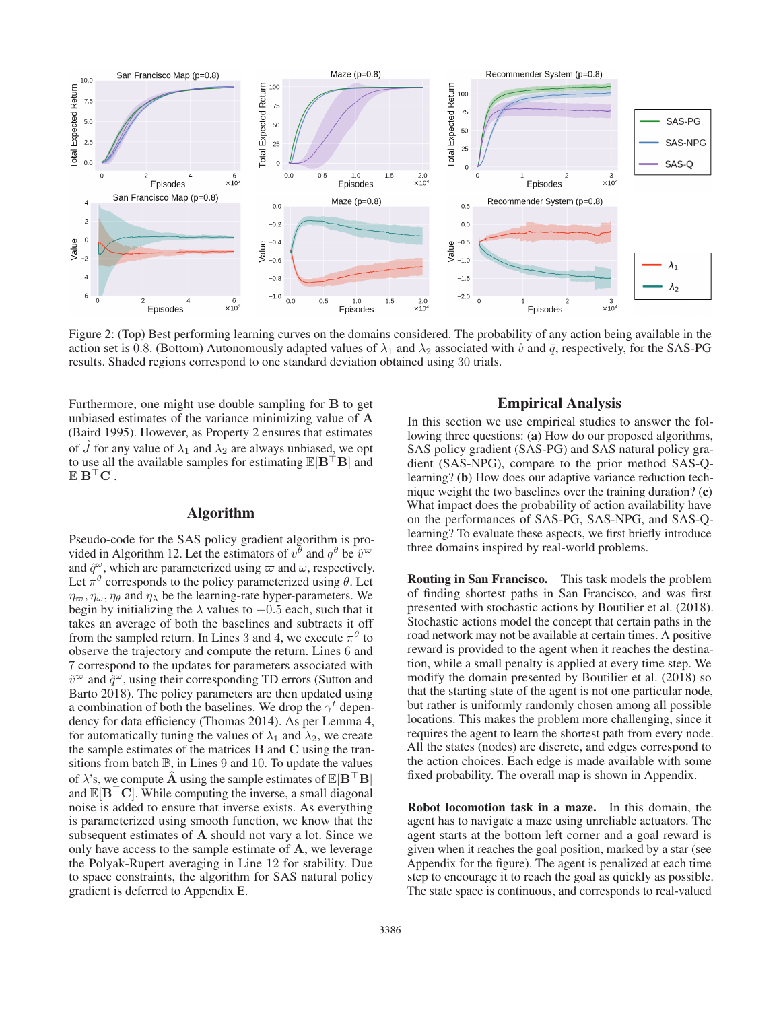

Figure 2: (Top) Best performing learning curves on the domains considered. The probability of any action being available in the action set is 0.8. (Bottom) Autonomously adapted values of  $\lambda_1$  and  $\lambda_2$  associated with  $\hat{v}$  and  $\bar{q}$ , respectively, for the SAS-PG results. Shaded regions correspond to one standard deviation obtained using 30 trials.

Furthermore, one might use double sampling for **B** to get unbiased estimates of the variance minimizing value of **A** (Baird 1995). However, as Property 2 ensures that estimates of  $\hat{J}$  for any value of  $\lambda_1$  and  $\lambda_2$  are always unbiased, we opt to use all the available samples for estimating  $\mathbb{E}[\mathbf{B}^{\top} \mathbf{B}]$  and  $\mathbb{E}[\mathbf{B}^\top \mathbf{C}].$ 

### Algorithm

Pseudo-code for the SAS policy gradient algorithm is provided in Algorithm 12. Let the estimators of  $v^{\theta}$  and  $q^{\theta}$  be  $\hat{v}^{\varpi}$ and  $\hat{q}^{\omega}$ , which are parameterized using  $\omega$  and  $\omega$ , respectively. Let  $\pi^{\theta}$  corresponds to the policy parameterized using  $\theta$ . Let  $\eta_{\varpi}, \eta_{\omega}, \eta_{\theta}$  and  $\eta_{\lambda}$  be the learning-rate hyper-parameters. We begin by initializing the  $\lambda$  values to  $-0.5$  each, such that it takes an average of both the baselines and subtracts it off from the sampled return. In Lines 3 and 4, we execute  $\pi^{\theta}$  to observe the trajectory and compute the return. Lines 6 and 7 correspond to the updates for parameters associated with  $\hat{v}^{\varpi}$  and  $\hat{q}^{\omega}$ , using their corresponding TD errors (Sutton and Barto 2018). The policy parameters are then updated using a combination of both the baselines. We drop the  $\gamma^t$  dependency for data efficiency (Thomas 2014). As per Lemma 4, for automatically tuning the values of  $\lambda_1$  and  $\lambda_2$ , we create the sample estimates of the matrices **B** and **C** using the transitions from batch  $\mathbb{B}$ , in Lines 9 and 10. To update the values of  $\lambda$ 's, we compute  $\hat{\mathbf{A}}$  using the sample estimates of  $\mathbb{E}[\mathbf{B}^{\top} \mathbf{B}]$ and  $\mathbb{E}[\mathbf{B}^{\top}\mathbf{C}]$ . While computing the inverse, a small diagonal noise is added to ensure that inverse exists. As everything is parameterized using smooth function, we know that the subsequent estimates of **A** should not vary a lot. Since we only have access to the sample estimate of **A**, we leverage the Polyak-Rupert averaging in Line 12 for stability. Due to space constraints, the algorithm for SAS natural policy gradient is deferred to Appendix E.

## Empirical Analysis

In this section we use empirical studies to answer the following three questions: (a) How do our proposed algorithms, SAS policy gradient (SAS-PG) and SAS natural policy gradient (SAS-NPG), compare to the prior method SAS-Qlearning? (b) How does our adaptive variance reduction technique weight the two baselines over the training duration? (c) What impact does the probability of action availability have on the performances of SAS-PG, SAS-NPG, and SAS-Qlearning? To evaluate these aspects, we first briefly introduce three domains inspired by real-world problems.

Routing in San Francisco. This task models the problem of finding shortest paths in San Francisco, and was first presented with stochastic actions by Boutilier et al. (2018). Stochastic actions model the concept that certain paths in the road network may not be available at certain times. A positive reward is provided to the agent when it reaches the destination, while a small penalty is applied at every time step. We modify the domain presented by Boutilier et al. (2018) so that the starting state of the agent is not one particular node, but rather is uniformly randomly chosen among all possible locations. This makes the problem more challenging, since it requires the agent to learn the shortest path from every node. All the states (nodes) are discrete, and edges correspond to the action choices. Each edge is made available with some fixed probability. The overall map is shown in Appendix.

Robot locomotion task in a maze. In this domain, the agent has to navigate a maze using unreliable actuators. The agent starts at the bottom left corner and a goal reward is given when it reaches the goal position, marked by a star (see Appendix for the figure). The agent is penalized at each time step to encourage it to reach the goal as quickly as possible. The state space is continuous, and corresponds to real-valued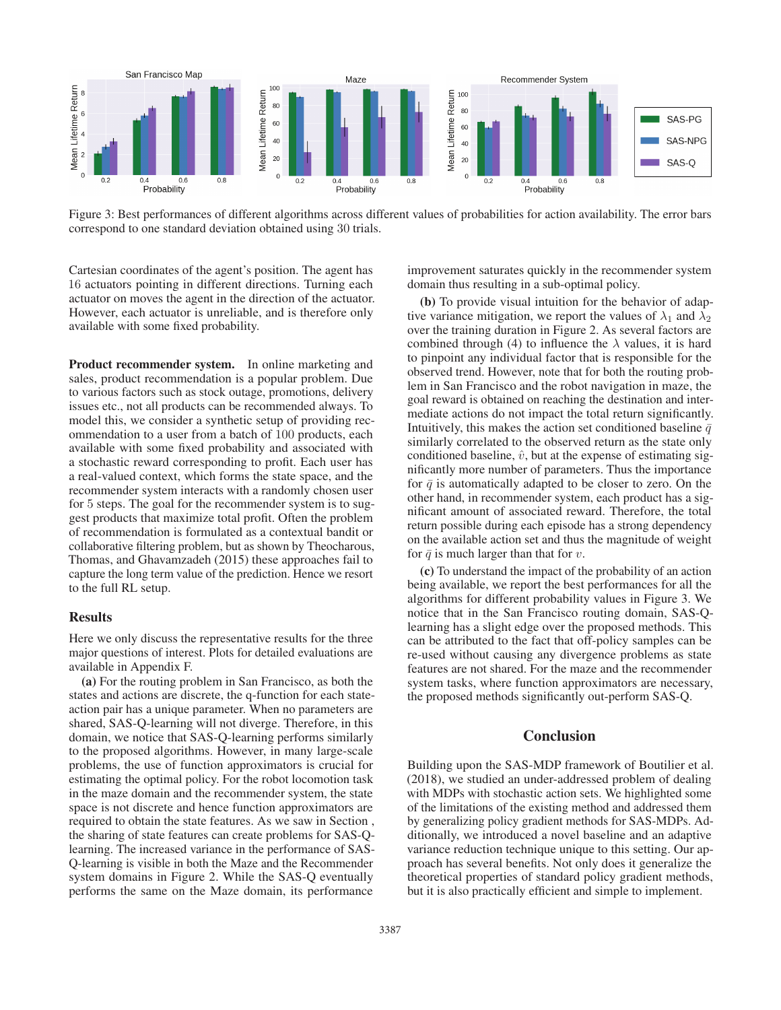

Figure 3: Best performances of different algorithms across different values of probabilities for action availability. The error bars correspond to one standard deviation obtained using 30 trials.

Cartesian coordinates of the agent's position. The agent has 16 actuators pointing in different directions. Turning each actuator on moves the agent in the direction of the actuator. However, each actuator is unreliable, and is therefore only available with some fixed probability.

Product recommender system. In online marketing and sales, product recommendation is a popular problem. Due to various factors such as stock outage, promotions, delivery issues etc., not all products can be recommended always. To model this, we consider a synthetic setup of providing recommendation to a user from a batch of 100 products, each available with some fixed probability and associated with a stochastic reward corresponding to profit. Each user has a real-valued context, which forms the state space, and the recommender system interacts with a randomly chosen user for 5 steps. The goal for the recommender system is to suggest products that maximize total profit. Often the problem of recommendation is formulated as a contextual bandit or collaborative filtering problem, but as shown by Theocharous, Thomas, and Ghavamzadeh (2015) these approaches fail to capture the long term value of the prediction. Hence we resort to the full RL setup.

### **Results**

Here we only discuss the representative results for the three major questions of interest. Plots for detailed evaluations are available in Appendix F.

(a) For the routing problem in San Francisco, as both the states and actions are discrete, the q-function for each stateaction pair has a unique parameter. When no parameters are shared, SAS-Q-learning will not diverge. Therefore, in this domain, we notice that SAS-Q-learning performs similarly to the proposed algorithms. However, in many large-scale problems, the use of function approximators is crucial for estimating the optimal policy. For the robot locomotion task in the maze domain and the recommender system, the state space is not discrete and hence function approximators are required to obtain the state features. As we saw in Section , the sharing of state features can create problems for SAS-Qlearning. The increased variance in the performance of SAS-Q-learning is visible in both the Maze and the Recommender system domains in Figure 2. While the SAS-Q eventually performs the same on the Maze domain, its performance

improvement saturates quickly in the recommender system domain thus resulting in a sub-optimal policy.

(b) To provide visual intuition for the behavior of adaptive variance mitigation, we report the values of  $\lambda_1$  and  $\lambda_2$ over the training duration in Figure 2. As several factors are combined through (4) to influence the  $\lambda$  values, it is hard to pinpoint any individual factor that is responsible for the observed trend. However, note that for both the routing problem in San Francisco and the robot navigation in maze, the goal reward is obtained on reaching the destination and intermediate actions do not impact the total return significantly. Intuitively, this makes the action set conditioned baseline  $\bar{q}$ similarly correlated to the observed return as the state only conditioned baseline,  $\hat{v}$ , but at the expense of estimating significantly more number of parameters. Thus the importance for  $\bar{q}$  is automatically adapted to be closer to zero. On the other hand, in recommender system, each product has a significant amount of associated reward. Therefore, the total return possible during each episode has a strong dependency on the available action set and thus the magnitude of weight for  $\bar{q}$  is much larger than that for v.

(c) To understand the impact of the probability of an action being available, we report the best performances for all the algorithms for different probability values in Figure 3. We notice that in the San Francisco routing domain, SAS-Qlearning has a slight edge over the proposed methods. This can be attributed to the fact that off-policy samples can be re-used without causing any divergence problems as state features are not shared. For the maze and the recommender system tasks, where function approximators are necessary, the proposed methods significantly out-perform SAS-Q.

### **Conclusion**

Building upon the SAS-MDP framework of Boutilier et al. (2018), we studied an under-addressed problem of dealing with MDPs with stochastic action sets. We highlighted some of the limitations of the existing method and addressed them by generalizing policy gradient methods for SAS-MDPs. Additionally, we introduced a novel baseline and an adaptive variance reduction technique unique to this setting. Our approach has several benefits. Not only does it generalize the theoretical properties of standard policy gradient methods, but it is also practically efficient and simple to implement.